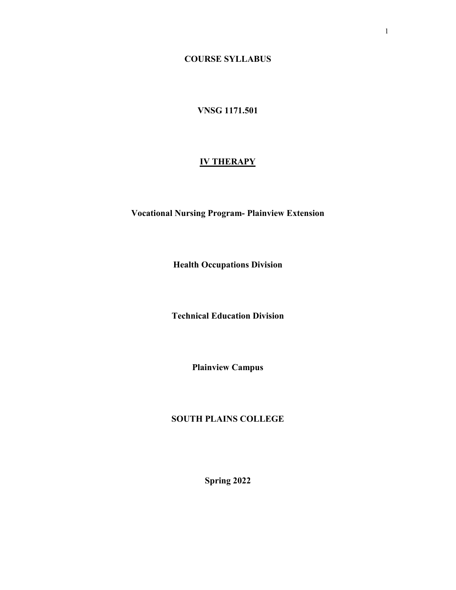**COURSE SYLLABUS**

### **VNSG 1171.501**

### **IV THERAPY**

**Vocational Nursing Program- Plainview Extension**

**Health Occupations Division**

**Technical Education Division**

**Plainview Campus**

### **SOUTH PLAINS COLLEGE**

**Spring 2022**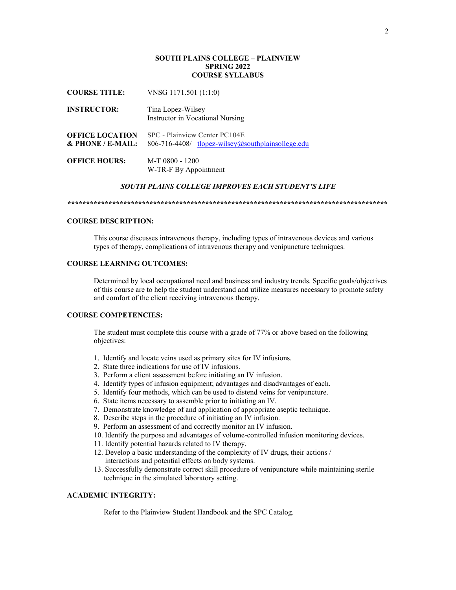### **SOUTH PLAINS COLLEGE – PLAINVIEW SPRING 2022 COURSE SYLLABUS**

**COURSE TITLE:** VNSG 1171.501 (1:1:0) **INSTRUCTOR:** Tina Lopez-Wilsey Instructor in Vocational Nursing **OFFICE LOCATION** SPC - Plainview Center PC104E

**& PHONE / E-MAIL:** 806-716-4408/ [tlopez-wilsey@southplainsollege.edu](mailto:tlopez-wilsey@southplainsollege.edu) **OFFICE HOURS:** M-T 0800 - 1200

W-TR-F By Appointment

### *SOUTH PLAINS COLLEGE IMPROVES EACH STUDENT'S LIFE*

*\*\*\*\*\*\*\*\*\*\*\*\*\*\*\*\*\*\*\*\*\*\*\*\*\*\*\*\*\*\*\*\*\*\*\*\*\*\*\*\*\*\*\*\*\*\*\*\*\*\*\*\*\*\*\*\*\*\*\*\*\*\*\*\*\*\*\*\*\*\*\*\*\*\*\*\*\*\*\*\*\*\*\*\*\*\**

### **COURSE DESCRIPTION:**

This course discusses intravenous therapy, including types of intravenous devices and various types of therapy, complications of intravenous therapy and venipuncture techniques.

### **COURSE LEARNING OUTCOMES:**

Determined by local occupational need and business and industry trends. Specific goals/objectives of this course are to help the student understand and utilize measures necessary to promote safety and comfort of the client receiving intravenous therapy.

### **COURSE COMPETENCIES:**

The student must complete this course with a grade of 77% or above based on the following objectives:

- 1. Identify and locate veins used as primary sites for IV infusions.
- 2. State three indications for use of IV infusions.
- 3. Perform a client assessment before initiating an IV infusion.
- 4. Identify types of infusion equipment; advantages and disadvantages of each.
- 5. Identify four methods, which can be used to distend veins for venipuncture.
- 6. State items necessary to assemble prior to initiating an IV.
- 7. Demonstrate knowledge of and application of appropriate aseptic technique.
- 8. Describe steps in the procedure of initiating an IV infusion.
- 9. Perform an assessment of and correctly monitor an IV infusion.
- 10. Identify the purpose and advantages of volume-controlled infusion monitoring devices.
- 11. Identify potential hazards related to IV therapy.
- 12. Develop a basic understanding of the complexity of IV drugs, their actions / interactions and potential effects on body systems.
- 13. Successfully demonstrate correct skill procedure of venipuncture while maintaining sterile technique in the simulated laboratory setting.

### **ACADEMIC INTEGRITY:**

Refer to the Plainview Student Handbook and the SPC Catalog.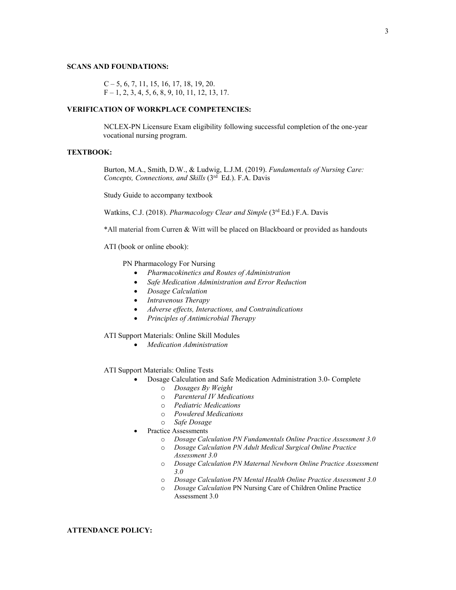#### **SCANS AND FOUNDATIONS:**

$$
C-5, 6, 7, 11, 15, 16, 17, 18, 19, 20.
$$
  
F-1, 2, 3, 4, 5, 6, 8, 9, 10, 11, 12, 13, 17.

### **VERIFICATION OF WORKPLACE COMPETENCIES:**

NCLEX-PN Licensure Exam eligibility following successful completion of the one-year vocational nursing program.

### **TEXTBOOK:**

Burton, M.A., Smith, D.W., & Ludwig, L.J.M. (2019). *Fundamentals of Nursing Care: Concepts, Connections, and Skills* (3rd Ed.). F.A. Davis

Study Guide to accompany textbook

Watkins, C.J. (2018). *Pharmacology Clear and Simple* (3rd Ed.) F.A. Davis

\*All material from Curren & Witt will be placed on Blackboard or provided as handouts

ATI (book or online ebook):

PN Pharmacology For Nursing

- *Pharmacokinetics and Routes of Administration*
- *Safe Medication Administration and Error Reduction*
- *Dosage Calculation*
- *Intravenous Therapy*
- *Adverse effects, Interactions, and Contraindications*
- *Principles of Antimicrobial Therapy*

ATI Support Materials: Online Skill Modules

• *Medication Administration*

ATI Support Materials: Online Tests

- Dosage Calculation and Safe Medication Administration 3.0- Complete
	- o *Dosages By Weight*
	- o *Parenteral IV Medications*
	- o *Pediatric Medications*
	- o *Powdered Medications*
	- o *Safe Dosage*
- Practice Assessments
	- o *Dosage Calculation PN Fundamentals Online Practice Assessment 3.0*
		- o *Dosage Calculation PN Adult Medical Surgical Online Practice Assessment 3.0*
		- o *Dosage Calculation PN Maternal Newborn Online Practice Assessment 3.0*
		- o *Dosage Calculation PN Mental Health Online Practice Assessment 3.0*
		- o *Dosage Calculation* PN Nursing Care of Children Online Practice Assessment 3.0

**ATTENDANCE POLICY:**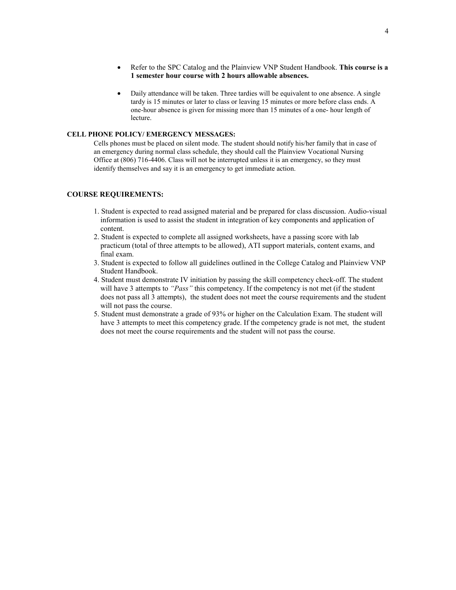- Refer to the SPC Catalog and the Plainview VNP Student Handbook. **This course is a 1 semester hour course with 2 hours allowable absences.**
- Daily attendance will be taken. Three tardies will be equivalent to one absence. A single tardy is 15 minutes or later to class or leaving 15 minutes or more before class ends. A one-hour absence is given for missing more than 15 minutes of a one- hour length of lecture.

### **CELL PHONE POLICY/ EMERGENCY MESSAGES:**

Cells phones must be placed on silent mode. The student should notify his/her family that in case of an emergency during normal class schedule, they should call the Plainview Vocational Nursing Office at (806) 716-4406. Class will not be interrupted unless it is an emergency, so they must identify themselves and say it is an emergency to get immediate action.

### **COURSE REQUIREMENTS:**

- 1. Student is expected to read assigned material and be prepared for class discussion. Audio-visual information is used to assist the student in integration of key components and application of content.
- 2. Student is expected to complete all assigned worksheets, have a passing score with lab practicum (total of three attempts to be allowed), ATI support materials, content exams, and final exam.
- 3. Student is expected to follow all guidelines outlined in the College Catalog and Plainview VNP Student Handbook.
- 4. Student must demonstrate IV initiation by passing the skill competency check-off. The student will have 3 attempts to *"Pass"* this competency. If the competency is not met (if the student does not pass all 3 attempts), the student does not meet the course requirements and the student will not pass the course.
- 5. Student must demonstrate a grade of 93% or higher on the Calculation Exam. The student will have 3 attempts to meet this competency grade. If the competency grade is not met, the student does not meet the course requirements and the student will not pass the course.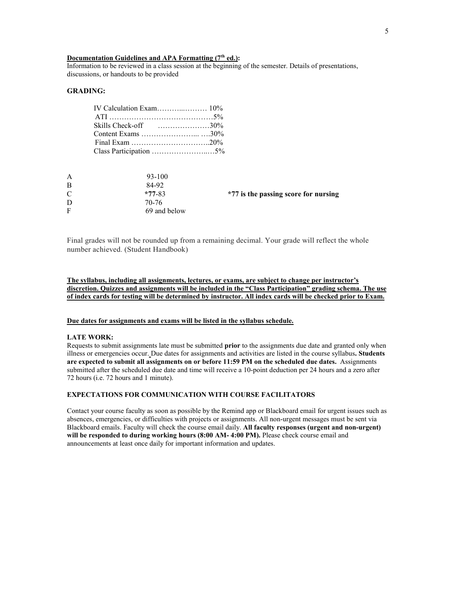### **Documentation Guidelines and APA Formatting (7<sup>th</sup> ed.):**

Information to be reviewed in a class session at the beginning of the semester. Details of presentations, discussions, or handouts to be provided

### **GRADING:**

| Skills Check-off $\ldots, \ldots, \ldots, 30\%$ |  |
|-------------------------------------------------|--|
|                                                 |  |
|                                                 |  |
| Class Participation 5%                          |  |

| A<br>B | $93 - 100$<br>84-92 |                                      |
|--------|---------------------|--------------------------------------|
| C      | $*77-83$            | *77 is the passing score for nursing |
| D      | 70-76               |                                      |
| F      | 69 and below        |                                      |

Final grades will not be rounded up from a remaining decimal. Your grade will reflect the whole number achieved. (Student Handbook)

**The syllabus, including all assignments, lectures, or exams, are subject to change per instructor's discretion. Quizzes and assignments will be included in the "Class Participation" grading schema. The use of index cards for testing will be determined by instructor. All index cards will be checked prior to Exam.** 

### **Due dates for assignments and exams will be listed in the syllabus schedule.**

### **LATE WORK:**

Requests to submit assignments late must be submitted **prior** to the assignments due date and granted only when illness or emergencies occur. Due dates for assignments and activities are listed in the course syllabus**. Students are expected to submit all assignments on or before 11:59 PM on the scheduled due dates.** Assignments submitted after the scheduled due date and time will receive a 10-point deduction per 24 hours and a zero after 72 hours (i.e. 72 hours and 1 minute).

### **EXPECTATIONS FOR COMMUNICATION WITH COURSE FACILITATORS**

Contact your course faculty as soon as possible by the Remind app or Blackboard email for urgent issues such as absences, emergencies, or difficulties with projects or assignments. All non-urgent messages must be sent via Blackboard emails. Faculty will check the course email daily. **All faculty responses (urgent and non-urgent) will be responded to during working hours (8:00 AM- 4:00 PM).** Please check course email and announcements at least once daily for important information and updates.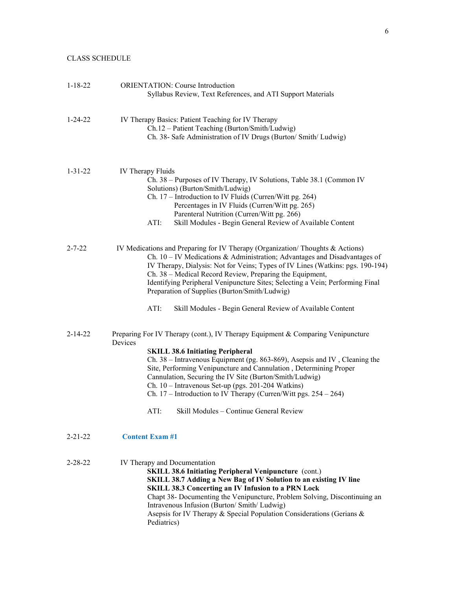### CLASS SCHEDULE

| $1 - 18 - 22$ | <b>ORIENTATION:</b> Course Introduction<br>Syllabus Review, Text References, and ATI Support Materials                                                                                                                                                                                                                                                                                                                                                                                                                           |
|---------------|----------------------------------------------------------------------------------------------------------------------------------------------------------------------------------------------------------------------------------------------------------------------------------------------------------------------------------------------------------------------------------------------------------------------------------------------------------------------------------------------------------------------------------|
| $1 - 24 - 22$ | IV Therapy Basics: Patient Teaching for IV Therapy<br>Ch.12 - Patient Teaching (Burton/Smith/Ludwig)<br>Ch. 38- Safe Administration of IV Drugs (Burton/ Smith/ Ludwig)                                                                                                                                                                                                                                                                                                                                                          |
| $1 - 31 - 22$ | IV Therapy Fluids<br>Ch. 38 – Purposes of IV Therapy, IV Solutions, Table 38.1 (Common IV<br>Solutions) (Burton/Smith/Ludwig)<br>Ch. 17 – Introduction to IV Fluids (Curren/Witt pg. 264)<br>Percentages in IV Fluids (Curren/Witt pg. 265)<br>Parenteral Nutrition (Curren/Witt pg. 266)<br>Skill Modules - Begin General Review of Available Content<br>ATI:                                                                                                                                                                   |
| 2-7-22        | IV Medications and Preparing for IV Therapy (Organization/Thoughts & Actions)<br>Ch. $10 - IV$ Medications & Administration; Advantages and Disadvantages of<br>IV Therapy, Dialysis: Not for Veins; Types of IV Lines (Watkins: pgs. 190-194)<br>Ch. 38 – Medical Record Review, Preparing the Equipment,<br>Identifying Peripheral Venipuncture Sites; Selecting a Vein; Performing Final<br>Preparation of Supplies (Burton/Smith/Ludwig)<br>ATI:<br>Skill Modules - Begin General Review of Available Content                |
| 2-14-22       | Preparing For IV Therapy (cont.), IV Therapy Equipment & Comparing Venipuncture<br>Devices<br><b>SKILL 38.6 Initiating Peripheral</b><br>Ch. 38 – Intravenous Equipment (pg. 863-869), Asepsis and IV, Cleaning the<br>Site, Performing Venipuncture and Cannulation, Determining Proper<br>Cannulation, Securing the IV Site (Burton/Smith/Ludwig)<br>Ch. 10 - Intravenous Set-up (pgs. 201-204 Watkins)<br>Ch. 17 - Introduction to IV Therapy (Curren/Witt pgs. 254 - 264)<br>Skill Modules - Continue General Review<br>ATI: |
| 2-21-22       | <b>Content Exam #1</b>                                                                                                                                                                                                                                                                                                                                                                                                                                                                                                           |
| 2-28-22       | IV Therapy and Documentation<br><b>SKILL 38.6 Initiating Peripheral Venipuncture</b> (cont.)<br>SKILL 38.7 Adding a New Bag of IV Solution to an existing IV line<br><b>SKILL 38.3 Concerting an IV Infusion to a PRN Lock</b><br>Chapt 38- Documenting the Venipuncture, Problem Solving, Discontinuing an<br>Intravenous Infusion (Burton/ Smith/ Ludwig)<br>Asepsis for IV Therapy & Special Population Considerations (Gerians &<br>Pediatrics)                                                                              |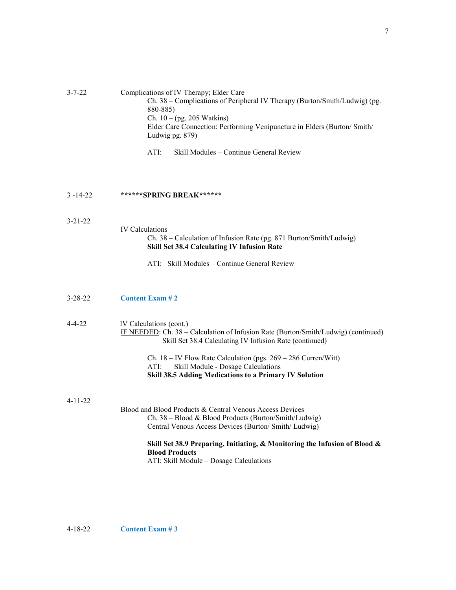### 3-7-22 Complications of IV Therapy; Elder Care Ch. 38 – Complications of Peripheral IV Therapy (Burton/Smith/Ludwig) (pg. 880-885) Ch. 10 – (pg. 205 Watkins) Elder Care Connection: Performing Venipuncture in Elders (Burton/ Smith/ Ludwig pg. 879)

ATI: Skill Modules – Continue General Review

#### 3 -14-22 **\*\*\*\*\*\*SPRING BREAK\*\*\*\*\*\***

### 3-21-22

### Ch. 38 – Calculation of Infusion Rate (pg. 871 Burton/Smith/Ludwig) **Skill Set 38.4 Calculating IV Infusion Rate**

ATI: Skill Modules – Continue General Review

### 3-28-22 **Content Exam # 2**

## 4-4-22 IV Calculations (cont.) IF NEEDED: Ch. 38 – Calculation of Infusion Rate (Burton/Smith/Ludwig) (continued) Skill Set 38.4 Calculating IV Infusion Rate (continued) Ch.  $18 - IV$  Flow Rate Calculation (pgs.  $269 - 286$  Curren/Witt) ATI: Skill Module - Dosage Calculations **Skill 38.5 Adding Medications to a Primary IV Solution** 4-11-22 Blood and Blood Products & Central Venous Access Devices Ch. 38 – Blood & Blood Products (Burton/Smith/Ludwig) Central Venous Access Devices (Burton/ Smith/ Ludwig) **Skill Set 38.9 Preparing, Initiating, & Monitoring the Infusion of Blood &**

### **Blood Products** ATI: Skill Module – Dosage Calculations

IV Calculations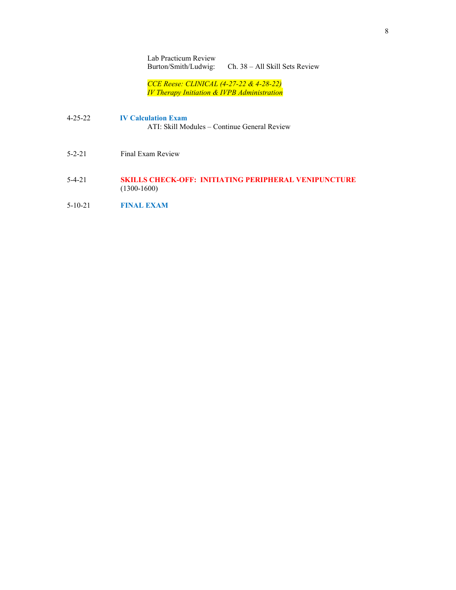Lab Practicum Review Burton/Smith/Ludwig: Ch. 38 – All Skill Sets Review

*CCE Reese: CLINICAL (4-27-22 & 4-28-22) IV Therapy Initiation & IVPB Administration*

- 4-25-22 **IV Calculation Exam** ATI: Skill Modules – Continue General Review
- 5-2-21 Final Exam Review
- 5-4-21 **SKILLS CHECK-OFF: INITIATING PERIPHERAL VENIPUNCTURE** (1300-1600)
- 5-10-21 **FINAL EXAM**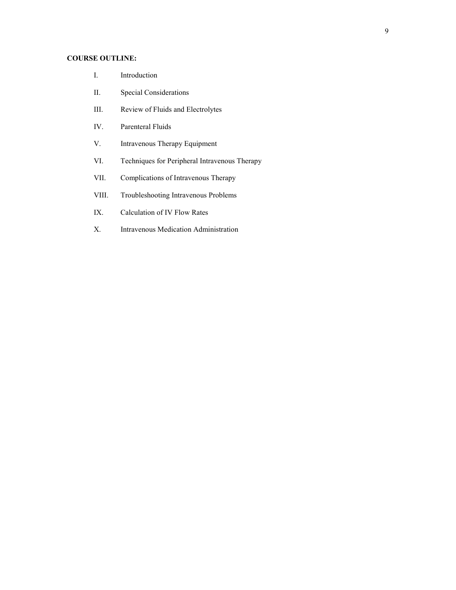### **COURSE OUTLINE:**

- I. Introduction
- II. Special Considerations
- III. Review of Fluids and Electrolytes
- IV. Parenteral Fluids
- V. Intravenous Therapy Equipment
- VI. Techniques for Peripheral Intravenous Therapy
- VII. Complications of Intravenous Therapy
- VIII. Troubleshooting Intravenous Problems
- IX. Calculation of IV Flow Rates
- X. Intravenous Medication Administration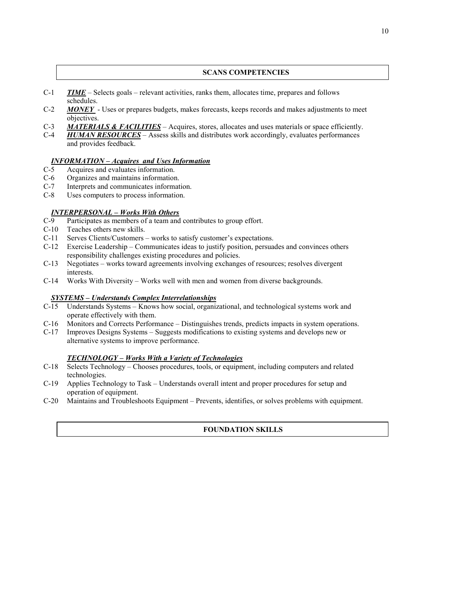### **SCANS COMPETENCIES**

- C-1 *TIME* Selects goals relevant activities, ranks them, allocates time, prepares and follows schedules.
- C-2 *MONEY* Uses or prepares budgets, makes forecasts, keeps records and makes adjustments to meet objectives.
- C-3 *MATERIALS & FACILITIES* Acquires, stores, allocates and uses materials or space efficiently.<br>C-4 *HUMAN RESOURCES* Assess skills and distributes work accordingly, evaluates performances
	- HUMAN RESOURCES Assess skills and distributes work accordingly, evaluates performances and provides feedback.

# *INFORMATION – Acquires and Uses Information*

- Acquires and evaluates information.
- C-6 Organizes and maintains information.
- C-7 Interprets and communicates information.
- C-8 Uses computers to process information.

### *INTERPERSONAL – Works With Others*

- C-9 Participates as members of a team and contributes to group effort.
- C-10 Teaches others new skills.
- C-11 Serves Clients/Customers works to satisfy customer's expectations.
- C-12 Exercise Leadership Communicates ideas to justify position, persuades and convinces others responsibility challenges existing procedures and policies.
- C-13 Negotiates works toward agreements involving exchanges of resources; resolves divergent interests.
- C-14 Works With Diversity Works well with men and women from diverse backgrounds.

### *SYSTEMS – Understands Complex Interrelationships*

- C-15 Understands Systems Knows how social, organizational, and technological systems work and operate effectively with them.
- C-16 Monitors and Corrects Performance Distinguishes trends, predicts impacts in system operations.
- C-17 Improves Designs Systems Suggests modifications to existing systems and develops new or alternative systems to improve performance.

### *TECHNOLOGY – Works With a Variety of Technologies*

- C-18 Selects Technology Chooses procedures, tools, or equipment, including computers and related technologies.
- C-19 Applies Technology to Task Understands overall intent and proper procedures for setup and operation of equipment.
- C-20 Maintains and Troubleshoots Equipment Prevents, identifies, or solves problems with equipment.

### **FOUNDATION SKILLS**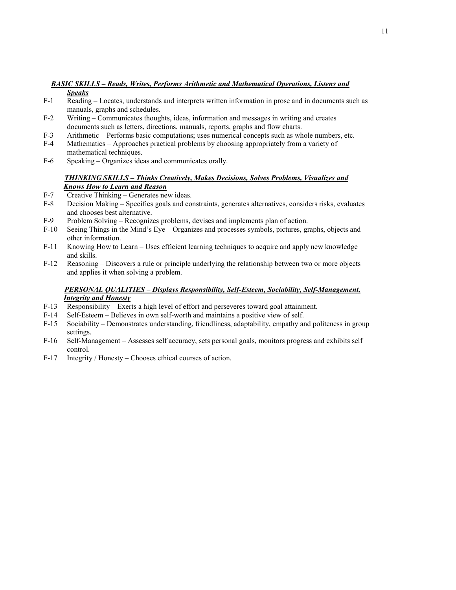### *BASIC SKILLS – Reads, Writes, Performs Arithmetic and Mathematical Operations, Listens and Speaks*

- F-1 Reading Locates, understands and interprets written information in prose and in documents such as manuals, graphs and schedules.
- F-2 Writing Communicates thoughts, ideas, information and messages in writing and creates documents such as letters, directions, manuals, reports, graphs and flow charts.
- F-3 Arithmetic Performs basic computations; uses numerical concepts such as whole numbers, etc.
- F-4 Mathematics Approaches practical problems by choosing appropriately from a variety of mathematical techniques.
- F-6 Speaking Organizes ideas and communicates orally.

### *THINKING SKILLS – Thinks Creatively, Makes Decisions, Solves Problems, Visualizes and Knows How to Learn and Reason*

- F-7 Creative Thinking Generates new ideas.
- F-8 Decision Making Specifies goals and constraints, generates alternatives, considers risks, evaluates and chooses best alternative.
- F-9 Problem Solving Recognizes problems, devises and implements plan of action.
- F-10 Seeing Things in the Mind's Eye Organizes and processes symbols, pictures, graphs, objects and other information.
- F-11 Knowing How to Learn Uses efficient learning techniques to acquire and apply new knowledge and skills.
- F-12 Reasoning Discovers a rule or principle underlying the relationship between two or more objects and applies it when solving a problem.

### *PERSONAL QUALITIES – Displays Responsibility, Self-Esteem, Sociability, Self-Management, Integrity and Honesty*

- F-13 Responsibility Exerts a high level of effort and perseveres toward goal attainment.
- F-14 Self-Esteem Believes in own self-worth and maintains a positive view of self.
- F-15 Sociability Demonstrates understanding, friendliness, adaptability, empathy and politeness in group settings.
- F-16 Self-Management Assesses self accuracy, sets personal goals, monitors progress and exhibits self control.
- F-17 Integrity / Honesty Chooses ethical courses of action.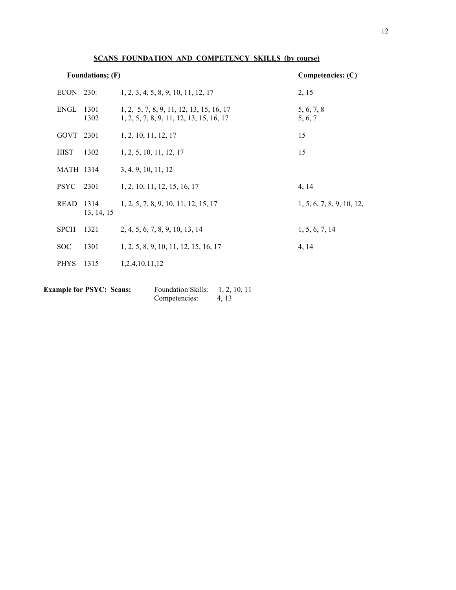| <b>Foundations; (F)</b> |                    | Competencies: (C)                                                                    |                           |
|-------------------------|--------------------|--------------------------------------------------------------------------------------|---------------------------|
| $ECON$ 230:             |                    | 1, 2, 3, 4, 5, 8, 9, 10, 11, 12, 17                                                  | 2, 15                     |
| ENGL                    | 1301<br>1302       | 1, 2, 5, 7, 8, 9, 11, 12, 13, 15, 16, 17<br>1, 2, 5, 7, 8, 9, 11, 12, 13, 15, 16, 17 | 5, 6, 7, 8<br>5, 6, 7     |
| GOVT 2301               |                    | 1, 2, 10, 11, 12, 17                                                                 | 15                        |
| <b>HIST</b>             | 1302               | 1, 2, 5, 10, 11, 12, 17                                                              | 15                        |
| <b>MATH 1314</b>        |                    | 3, 4, 9, 10, 11, 12                                                                  |                           |
| <b>PSYC</b>             | 2301               | 1, 2, 10, 11, 12, 15, 16, 17                                                         | 4, 14                     |
| <b>READ</b>             | 1314<br>13, 14, 15 | 1, 2, 5, 7, 8, 9, 10, 11, 12, 15, 17                                                 | 1, 5, 6, 7, 8, 9, 10, 12, |
| <b>SPCH</b>             | 1321               | 2, 4, 5, 6, 7, 8, 9, 10, 13, 14                                                      | 1, 5, 6, 7, 14            |
| <b>SOC</b>              | 1301               | 1, 2, 5, 8, 9, 10, 11, 12, 15, 16, 17                                                | 4, 14                     |
| <b>PHYS</b>             | 1315               | 1,2,4,10,11,12                                                                       |                           |

### **SCANS FOUNDATION AND COMPETENCY SKILLS (by course)**

| <b>Example for PSYC: Scans:</b> | <b>Foundation Skills:</b> | 1, 2, 10, 11 |
|---------------------------------|---------------------------|--------------|
|                                 | Competencies:             | 4.13         |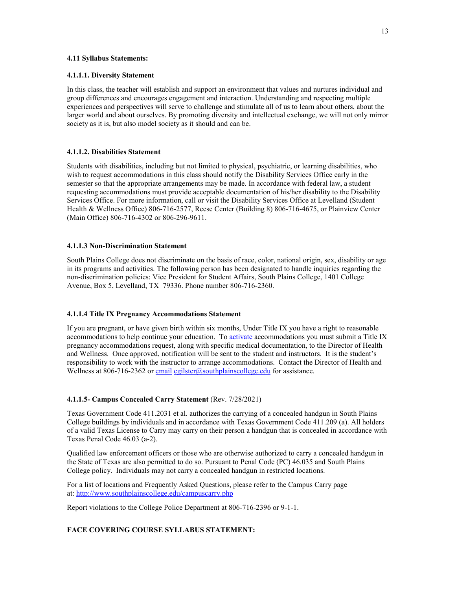### **4.11 Syllabus Statements:**

### **4.1.1.1. Diversity Statement**

In this class, the teacher will establish and support an environment that values and nurtures individual and group differences and encourages engagement and interaction. Understanding and respecting multiple experiences and perspectives will serve to challenge and stimulate all of us to learn about others, about the larger world and about ourselves. By promoting diversity and intellectual exchange, we will not only mirror society as it is, but also model society as it should and can be.

### **4.1.1.2. Disabilities Statement**

Students with disabilities, including but not limited to physical, psychiatric, or learning disabilities, who wish to request accommodations in this class should notify the Disability Services Office early in the semester so that the appropriate arrangements may be made. In accordance with federal law, a student requesting accommodations must provide acceptable documentation of his/her disability to the Disability Services Office. For more information, call or visit the Disability Services Office at Levelland (Student Health & Wellness Office) 806-716-2577, Reese Center (Building 8) 806-716-4675, or Plainview Center (Main Office) 806-716-4302 or 806-296-9611.

### **4.1.1.3 Non-Discrimination Statement**

South Plains College does not discriminate on the basis of race, color, national origin, sex, disability or age in its programs and activities. The following person has been designated to handle inquiries regarding the non-discrimination policies: Vice President for Student Affairs, South Plains College, 1401 College Avenue, Box 5, Levelland, TX 79336. Phone number 806-716-2360.

#### **4.1.1.4 Title IX Pregnancy Accommodations Statement**

If you are pregnant, or have given birth within six months, Under Title IX you have a right to reasonable accommodations to help continue your education. To [activate](http://www.southplainscollege.edu/employees/manualshandbooks/facultyhandbook/sec4.php) accommodations you must submit a Title IX pregnancy accommodations request, along with specific medical documentation, to the Director of Health and Wellness. Once approved, notification will be sent to the student and instructors. It is the student's responsibility to work with the instructor to arrange accommodations. Contact the Director of Health and Wellness at 806-716-2362 or [email](http://www.southplainscollege.edu/employees/manualshandbooks/facultyhandbook/sec4.php) [cgilster@southplainscollege.edu](mailto:cgilster@southplainscollege.edu) for assistance.

#### **4.1.1.5- Campus Concealed Carry Statement** (Rev. 7/28/2021)

Texas Government Code 411.2031 et al. authorizes the carrying of a concealed handgun in South Plains College buildings by individuals and in accordance with Texas Government Code 411.209 (a). All holders of a valid Texas License to Carry may carry on their person a handgun that is concealed in accordance with Texas Penal Code 46.03 (a-2).

Qualified law enforcement officers or those who are otherwise authorized to carry a concealed handgun in the State of Texas are also permitted to do so. Pursuant to Penal Code (PC) 46.035 and South Plains College policy. Individuals may not carry a concealed handgun in restricted locations.

For a list of locations and Frequently Asked Questions, please refer to the Campus Carry page at: <http://www.southplainscollege.edu/campuscarry.php>

Report violations to the College Police Department at 806-716-2396 or 9-1-1.

### **FACE COVERING COURSE SYLLABUS STATEMENT:**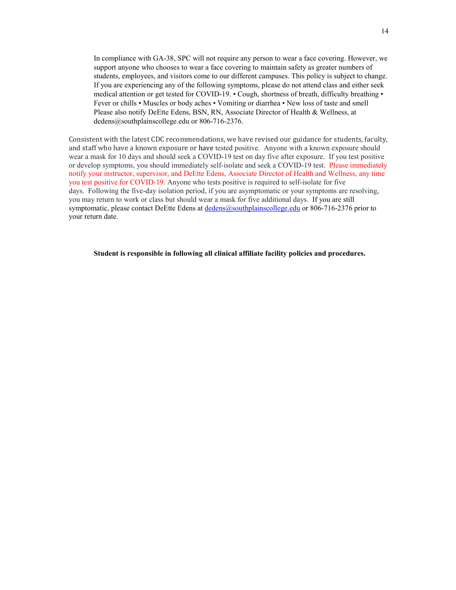In compliance with GA-38, SPC will not require any person to wear a face covering. However, we support anyone who chooses to wear a face covering to maintain safety as greater numbers of students, employees, and visitors come to our different campuses. This policy is subject to change. If you are experiencing any of the following symptoms, please do not attend class and either seek medical attention or get tested for COVID-19. • Cough, shortness of breath, difficulty breathing • Fever or chills • Muscles or body aches • Vomiting or diarrhea • New loss of taste and smell Please also notify DeEtte Edens, BSN, RN, Associate Director of Health & Wellness, at dedens@southplainscollege.edu or 806-716-2376.

Consistent with the latest CDC recommendations, we have revised our guidance for students, faculty, and staff who have a known exposure or have tested positive. Anyone with a known exposure should wear a mask for 10 days and should seek a COVID-19 test on day five after exposure. If you test positive or develop symptoms, you should immediately self-isolate and seek a COVID-19 test. Please immediately notify your instructor, supervisor, and DeEtte Edens, Associate Director of Health and Wellness, any time you test positive for COVID-19. Anyone who tests positive is required to self-isolate for five days. Following the five-day isolation period, if you are asymptomatic or your symptoms are resolving, you may return to work or class but should wear a mask for five additional days. If you are still symptomatic, please contact DeEtte Edens at [dedens@southplainscollege.edu](mailto:dedens@southplainscollege.edu) or 806-716-2376 prior to your return date.

**Student is responsible in following all clinical affiliate facility policies and procedures.**